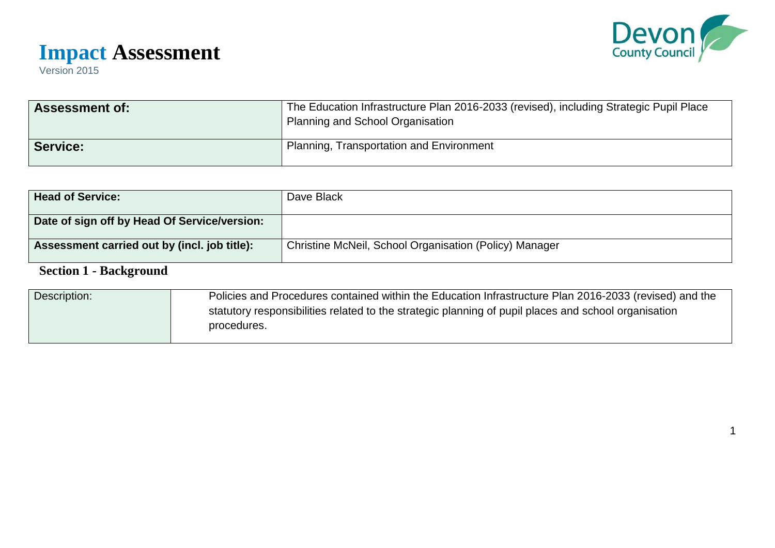

1

# **Impact Assessment**

Version 2015

| <b>Assessment of:</b> | The Education Infrastructure Plan 2016-2033 (revised), including Strategic Pupil Place<br>Planning and School Organisation |
|-----------------------|----------------------------------------------------------------------------------------------------------------------------|
| <b>Service:</b>       | <b>Planning, Transportation and Environment</b>                                                                            |

| <b>Head of Service:</b>                      | Dave Black                                             |
|----------------------------------------------|--------------------------------------------------------|
| Date of sign off by Head Of Service/version: |                                                        |
| Assessment carried out by (incl. job title): | Christine McNeil, School Organisation (Policy) Manager |
| <b>Section 1 - Background</b>                |                                                        |

### Description: Policies and Procedures contained within the Education Infrastructure Plan 2016-2033 (revised) and the statutory responsibilities related to the strategic planning of pupil places and school organisation procedures.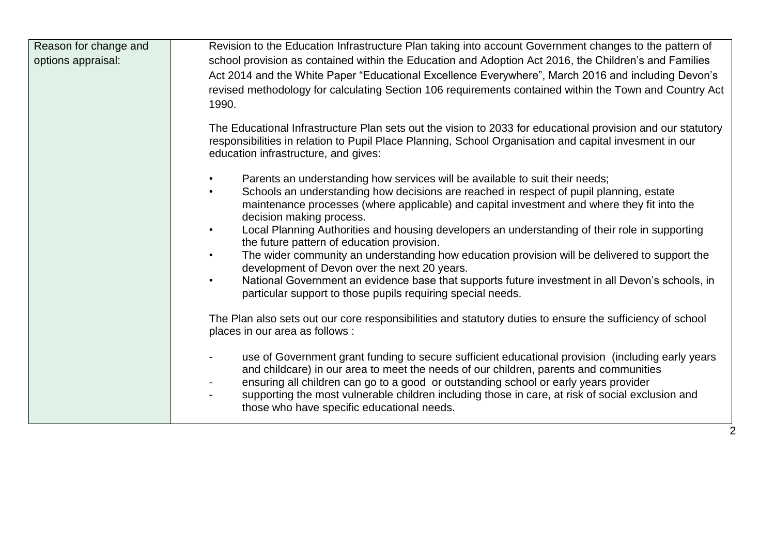| Reason for change and<br>options appraisal: | Revision to the Education Infrastructure Plan taking into account Government changes to the pattern of<br>school provision as contained within the Education and Adoption Act 2016, the Children's and Families<br>Act 2014 and the White Paper "Educational Excellence Everywhere", March 2016 and including Devon's<br>revised methodology for calculating Section 106 requirements contained within the Town and Country Act<br>1990.                         |
|---------------------------------------------|------------------------------------------------------------------------------------------------------------------------------------------------------------------------------------------------------------------------------------------------------------------------------------------------------------------------------------------------------------------------------------------------------------------------------------------------------------------|
|                                             | The Educational Infrastructure Plan sets out the vision to 2033 for educational provision and our statutory<br>responsibilities in relation to Pupil Place Planning, School Organisation and capital invesment in our<br>education infrastructure, and gives:                                                                                                                                                                                                    |
|                                             | Parents an understanding how services will be available to suit their needs;<br>$\bullet$<br>Schools an understanding how decisions are reached in respect of pupil planning, estate<br>$\bullet$<br>maintenance processes (where applicable) and capital investment and where they fit into the<br>decision making process.<br>Local Planning Authorities and housing developers an understanding of their role in supporting<br>$\bullet$                      |
|                                             | the future pattern of education provision.<br>The wider community an understanding how education provision will be delivered to support the<br>$\bullet$<br>development of Devon over the next 20 years.<br>National Government an evidence base that supports future investment in all Devon's schools, in<br>$\bullet$<br>particular support to those pupils requiring special needs.                                                                          |
|                                             | The Plan also sets out our core responsibilities and statutory duties to ensure the sufficiency of school<br>places in our area as follows :                                                                                                                                                                                                                                                                                                                     |
|                                             | use of Government grant funding to secure sufficient educational provision (including early years<br>and childcare) in our area to meet the needs of our children, parents and communities<br>ensuring all children can go to a good or outstanding school or early years provider<br>supporting the most vulnerable children including those in care, at risk of social exclusion and<br>$\overline{\phantom{a}}$<br>those who have specific educational needs. |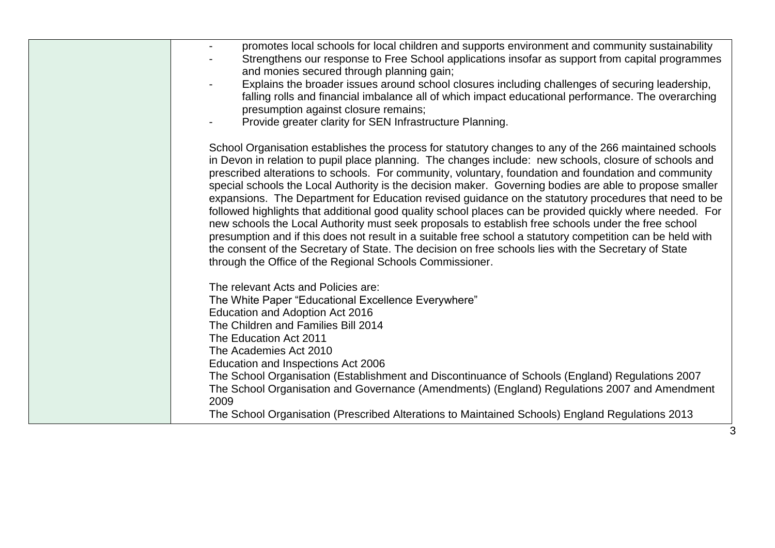| promotes local schools for local children and supports environment and community sustainability<br>Strengthens our response to Free School applications insofar as support from capital programmes<br>and monies secured through planning gain;<br>Explains the broader issues around school closures including challenges of securing leadership,<br>falling rolls and financial imbalance all of which impact educational performance. The overarching<br>presumption against closure remains;<br>Provide greater clarity for SEN Infrastructure Planning.                                                                                                                                                                                                                                                                                                                                                                                                                                                                                      |
|---------------------------------------------------------------------------------------------------------------------------------------------------------------------------------------------------------------------------------------------------------------------------------------------------------------------------------------------------------------------------------------------------------------------------------------------------------------------------------------------------------------------------------------------------------------------------------------------------------------------------------------------------------------------------------------------------------------------------------------------------------------------------------------------------------------------------------------------------------------------------------------------------------------------------------------------------------------------------------------------------------------------------------------------------|
| School Organisation establishes the process for statutory changes to any of the 266 maintained schools<br>in Devon in relation to pupil place planning. The changes include: new schools, closure of schools and<br>prescribed alterations to schools. For community, voluntary, foundation and foundation and community<br>special schools the Local Authority is the decision maker. Governing bodies are able to propose smaller<br>expansions. The Department for Education revised guidance on the statutory procedures that need to be<br>followed highlights that additional good quality school places can be provided quickly where needed. For<br>new schools the Local Authority must seek proposals to establish free schools under the free school<br>presumption and if this does not result in a suitable free school a statutory competition can be held with<br>the consent of the Secretary of State. The decision on free schools lies with the Secretary of State<br>through the Office of the Regional Schools Commissioner. |
| The relevant Acts and Policies are:<br>The White Paper "Educational Excellence Everywhere"<br>Education and Adoption Act 2016<br>The Children and Families Bill 2014<br>The Education Act 2011<br>The Academies Act 2010<br>Education and Inspections Act 2006<br>The School Organisation (Establishment and Discontinuance of Schools (England) Regulations 2007<br>The School Organisation and Governance (Amendments) (England) Regulations 2007 and Amendment<br>2009<br>The School Organisation (Prescribed Alterations to Maintained Schools) England Regulations 2013                                                                                                                                                                                                                                                                                                                                                                                                                                                                      |
|                                                                                                                                                                                                                                                                                                                                                                                                                                                                                                                                                                                                                                                                                                                                                                                                                                                                                                                                                                                                                                                   |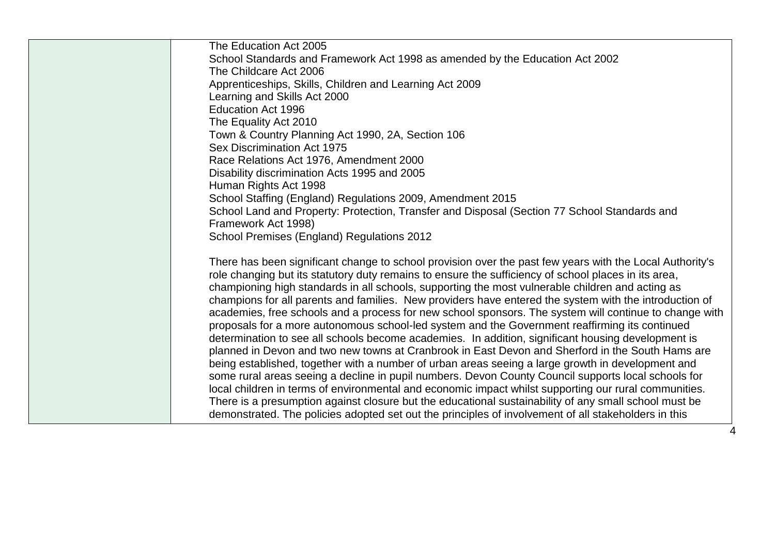| The Education Act 2005                                                                                   |
|----------------------------------------------------------------------------------------------------------|
| School Standards and Framework Act 1998 as amended by the Education Act 2002                             |
| The Childcare Act 2006                                                                                   |
| Apprenticeships, Skills, Children and Learning Act 2009                                                  |
| Learning and Skills Act 2000                                                                             |
| <b>Education Act 1996</b>                                                                                |
| The Equality Act 2010                                                                                    |
| Town & Country Planning Act 1990, 2A, Section 106                                                        |
| Sex Discrimination Act 1975                                                                              |
| Race Relations Act 1976, Amendment 2000                                                                  |
| Disability discrimination Acts 1995 and 2005                                                             |
| Human Rights Act 1998                                                                                    |
| School Staffing (England) Regulations 2009, Amendment 2015                                               |
| School Land and Property: Protection, Transfer and Disposal (Section 77 School Standards and             |
| Framework Act 1998)                                                                                      |
| School Premises (England) Regulations 2012                                                               |
| There has been significant change to school provision over the past few years with the Local Authority's |
| role changing but its statutory duty remains to ensure the sufficiency of school places in its area,     |
| championing high standards in all schools, supporting the most vulnerable children and acting as         |
| champions for all parents and families. New providers have entered the system with the introduction of   |
| academies, free schools and a process for new school sponsors. The system will continue to change with   |
| proposals for a more autonomous school-led system and the Government reaffirming its continued           |
| determination to see all schools become academies. In addition, significant housing development is       |
| planned in Devon and two new towns at Cranbrook in East Devon and Sherford in the South Hams are         |
| being established, together with a number of urban areas seeing a large growth in development and        |
| some rural areas seeing a decline in pupil numbers. Devon County Council supports local schools for      |
| local children in terms of environmental and economic impact whilst supporting our rural communities.    |
| There is a presumption against closure but the educational sustainability of any small school must be    |
| demonstrated. The policies adopted set out the principles of involvement of all stakeholders in this     |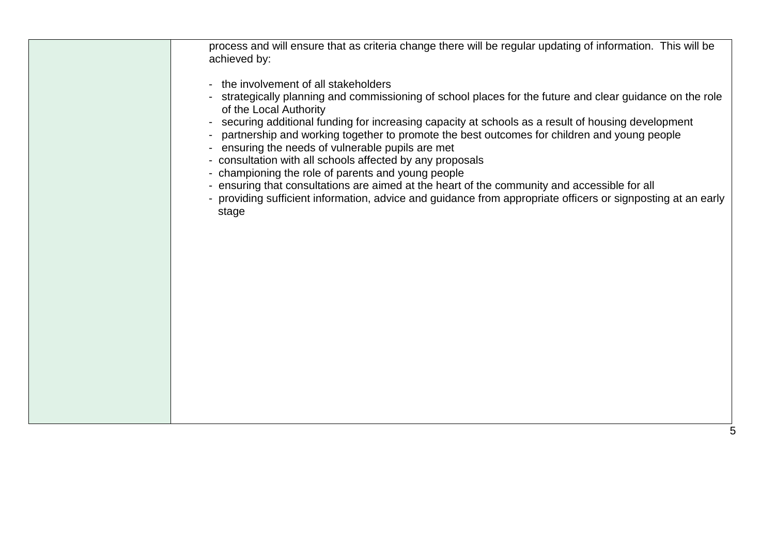process and will ensure that as criteria change there will be regular updating of information. This will be achieved by:

- the involvement of all stakeholders
- strategically planning and commissioning of school places for the future and clear guidance on the role of the Local Authority
- securing additional funding for increasing capacity at schools as a result of housing development
- partnership and working together to promote the best outcomes for children and young people
- ensuring the needs of vulnerable pupils are met
- consultation with all schools affected by any proposals
- championing the role of parents and young people
- ensuring that consultations are aimed at the heart of the community and accessible for all
- providing sufficient information, advice and guidance from appropriate officers or signposting at an early stage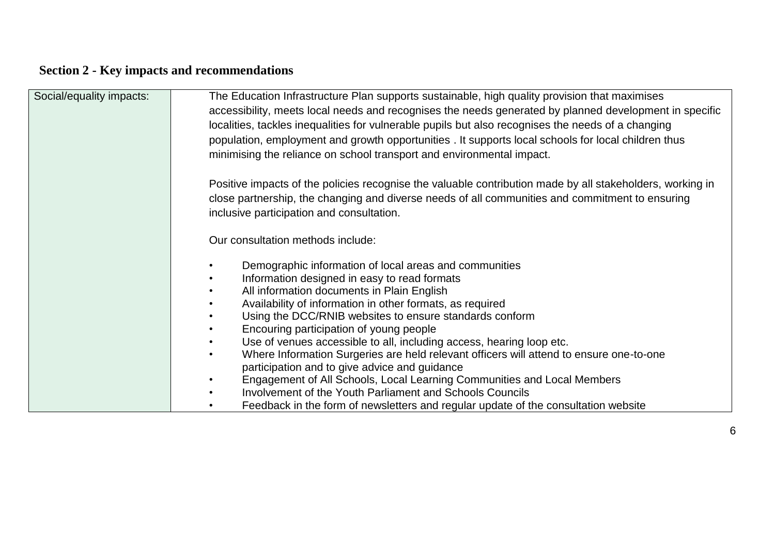### **Section 2 - Key impacts and recommendations**

| Social/equality impacts: | The Education Infrastructure Plan supports sustainable, high quality provision that maximises             |  |  |
|--------------------------|-----------------------------------------------------------------------------------------------------------|--|--|
|                          | accessibility, meets local needs and recognises the needs generated by planned development in specific    |  |  |
|                          | localities, tackles inequalities for vulnerable pupils but also recognises the needs of a changing        |  |  |
|                          | population, employment and growth opportunities . It supports local schools for local children thus       |  |  |
|                          | minimising the reliance on school transport and environmental impact.                                     |  |  |
|                          |                                                                                                           |  |  |
|                          | Positive impacts of the policies recognise the valuable contribution made by all stakeholders, working in |  |  |
|                          | close partnership, the changing and diverse needs of all communities and commitment to ensuring           |  |  |
|                          | inclusive participation and consultation.                                                                 |  |  |
|                          |                                                                                                           |  |  |
|                          | Our consultation methods include:                                                                         |  |  |
|                          |                                                                                                           |  |  |
|                          | Demographic information of local areas and communities                                                    |  |  |
|                          | Information designed in easy to read formats<br>$\bullet$                                                 |  |  |
|                          | All information documents in Plain English                                                                |  |  |
|                          | Availability of information in other formats, as required                                                 |  |  |
|                          | Using the DCC/RNIB websites to ensure standards conform                                                   |  |  |
|                          | Encouring participation of young people                                                                   |  |  |
|                          | Use of venues accessible to all, including access, hearing loop etc.                                      |  |  |
|                          | Where Information Surgeries are held relevant officers will attend to ensure one-to-one<br>$\bullet$      |  |  |
|                          | participation and to give advice and guidance                                                             |  |  |
|                          | Engagement of All Schools, Local Learning Communities and Local Members                                   |  |  |
|                          | Involvement of the Youth Parliament and Schools Councils                                                  |  |  |
|                          | Feedback in the form of newsletters and regular update of the consultation website                        |  |  |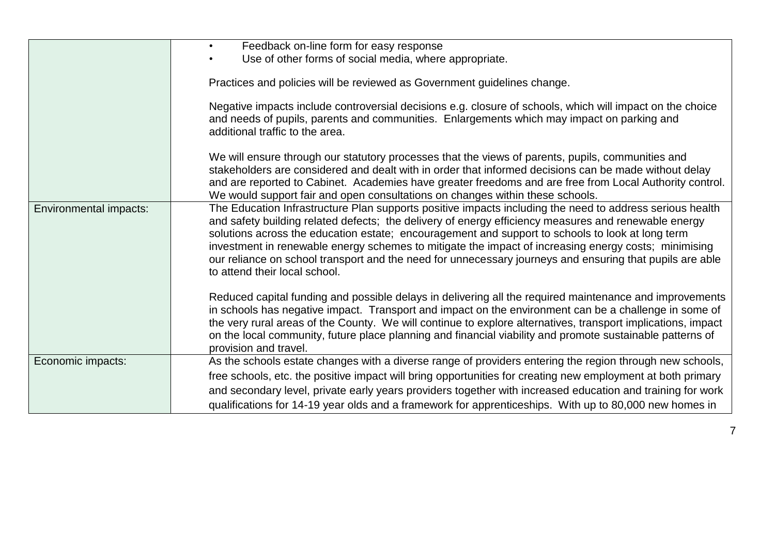|                        | Feedback on-line form for easy response<br>$\bullet$                                                                                                                                                                                                                                                                                                                                                                                                                                                                                                                      |  |
|------------------------|---------------------------------------------------------------------------------------------------------------------------------------------------------------------------------------------------------------------------------------------------------------------------------------------------------------------------------------------------------------------------------------------------------------------------------------------------------------------------------------------------------------------------------------------------------------------------|--|
|                        | Use of other forms of social media, where appropriate.                                                                                                                                                                                                                                                                                                                                                                                                                                                                                                                    |  |
|                        | Practices and policies will be reviewed as Government guidelines change.                                                                                                                                                                                                                                                                                                                                                                                                                                                                                                  |  |
|                        | Negative impacts include controversial decisions e.g. closure of schools, which will impact on the choice<br>and needs of pupils, parents and communities. Enlargements which may impact on parking and<br>additional traffic to the area.                                                                                                                                                                                                                                                                                                                                |  |
|                        | We will ensure through our statutory processes that the views of parents, pupils, communities and<br>stakeholders are considered and dealt with in order that informed decisions can be made without delay<br>and are reported to Cabinet. Academies have greater freedoms and are free from Local Authority control.<br>We would support fair and open consultations on changes within these schools.                                                                                                                                                                    |  |
| Environmental impacts: | The Education Infrastructure Plan supports positive impacts including the need to address serious health<br>and safety building related defects; the delivery of energy efficiency measures and renewable energy<br>solutions across the education estate; encouragement and support to schools to look at long term<br>investment in renewable energy schemes to mitigate the impact of increasing energy costs; minimising<br>our reliance on school transport and the need for unnecessary journeys and ensuring that pupils are able<br>to attend their local school. |  |
|                        | Reduced capital funding and possible delays in delivering all the required maintenance and improvements<br>in schools has negative impact. Transport and impact on the environment can be a challenge in some of<br>the very rural areas of the County. We will continue to explore alternatives, transport implications, impact<br>on the local community, future place planning and financial viability and promote sustainable patterns of<br>provision and travel.                                                                                                    |  |
| Economic impacts:      | As the schools estate changes with a diverse range of providers entering the region through new schools,                                                                                                                                                                                                                                                                                                                                                                                                                                                                  |  |
|                        | free schools, etc. the positive impact will bring opportunities for creating new employment at both primary                                                                                                                                                                                                                                                                                                                                                                                                                                                               |  |
|                        | and secondary level, private early years providers together with increased education and training for work                                                                                                                                                                                                                                                                                                                                                                                                                                                                |  |
|                        | qualifications for 14-19 year olds and a framework for apprenticeships. With up to 80,000 new homes in                                                                                                                                                                                                                                                                                                                                                                                                                                                                    |  |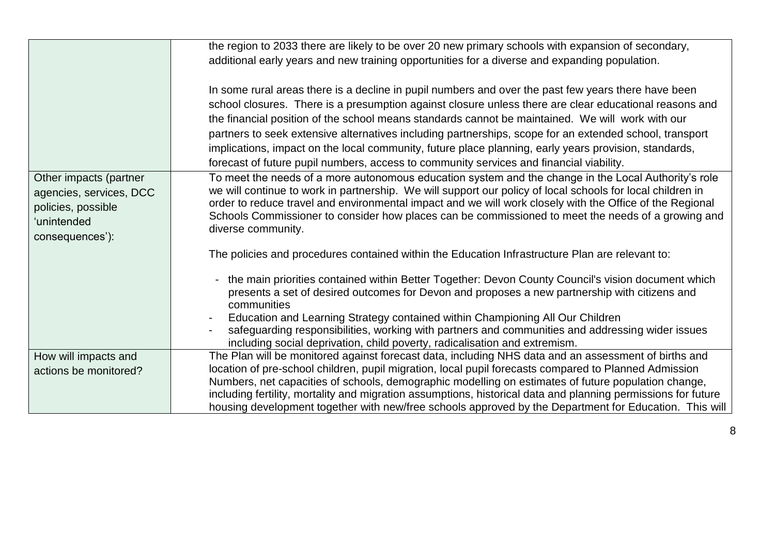|                                                                                                           | the region to 2033 there are likely to be over 20 new primary schools with expansion of secondary,                                                                                                                                                                                                                                                                                                                                                         |
|-----------------------------------------------------------------------------------------------------------|------------------------------------------------------------------------------------------------------------------------------------------------------------------------------------------------------------------------------------------------------------------------------------------------------------------------------------------------------------------------------------------------------------------------------------------------------------|
|                                                                                                           | additional early years and new training opportunities for a diverse and expanding population.                                                                                                                                                                                                                                                                                                                                                              |
|                                                                                                           |                                                                                                                                                                                                                                                                                                                                                                                                                                                            |
|                                                                                                           | In some rural areas there is a decline in pupil numbers and over the past few years there have been                                                                                                                                                                                                                                                                                                                                                        |
|                                                                                                           | school closures. There is a presumption against closure unless there are clear educational reasons and                                                                                                                                                                                                                                                                                                                                                     |
|                                                                                                           | the financial position of the school means standards cannot be maintained. We will work with our                                                                                                                                                                                                                                                                                                                                                           |
|                                                                                                           | partners to seek extensive alternatives including partnerships, scope for an extended school, transport                                                                                                                                                                                                                                                                                                                                                    |
|                                                                                                           | implications, impact on the local community, future place planning, early years provision, standards,                                                                                                                                                                                                                                                                                                                                                      |
|                                                                                                           | forecast of future pupil numbers, access to community services and financial viability.                                                                                                                                                                                                                                                                                                                                                                    |
| Other impacts (partner<br>agencies, services, DCC<br>policies, possible<br>'unintended<br>consequences'): | To meet the needs of a more autonomous education system and the change in the Local Authority's role<br>we will continue to work in partnership. We will support our policy of local schools for local children in<br>order to reduce travel and environmental impact and we will work closely with the Office of the Regional<br>Schools Commissioner to consider how places can be commissioned to meet the needs of a growing and<br>diverse community. |
|                                                                                                           | The policies and procedures contained within the Education Infrastructure Plan are relevant to:                                                                                                                                                                                                                                                                                                                                                            |
|                                                                                                           | the main priorities contained within Better Together: Devon County Council's vision document which<br>presents a set of desired outcomes for Devon and proposes a new partnership with citizens and<br>communities                                                                                                                                                                                                                                         |
|                                                                                                           | Education and Learning Strategy contained within Championing All Our Children<br>safeguarding responsibilities, working with partners and communities and addressing wider issues<br>including social deprivation, child poverty, radicalisation and extremism.                                                                                                                                                                                            |
| How will impacts and                                                                                      | The Plan will be monitored against forecast data, including NHS data and an assessment of births and                                                                                                                                                                                                                                                                                                                                                       |
| actions be monitored?                                                                                     | location of pre-school children, pupil migration, local pupil forecasts compared to Planned Admission                                                                                                                                                                                                                                                                                                                                                      |
|                                                                                                           | Numbers, net capacities of schools, demographic modelling on estimates of future population change,                                                                                                                                                                                                                                                                                                                                                        |
|                                                                                                           | including fertility, mortality and migration assumptions, historical data and planning permissions for future                                                                                                                                                                                                                                                                                                                                              |
|                                                                                                           | housing development together with new/free schools approved by the Department for Education. This will                                                                                                                                                                                                                                                                                                                                                     |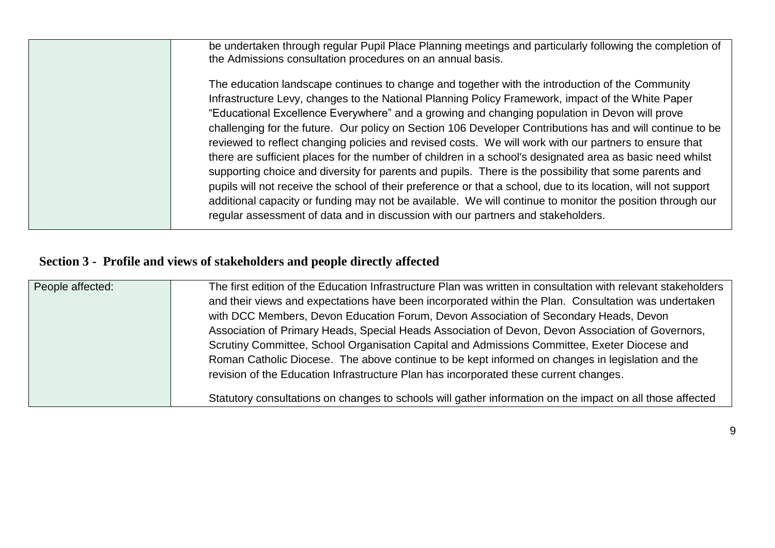| be undertaken through regular Pupil Place Planning meetings and particularly following the completion of<br>the Admissions consultation procedures on an annual basis.                                                                                                                                                                                                                                                                                                                                                                                                                                                                                                                                                                                                                                                                                                                                                                                                                                                                                                 |
|------------------------------------------------------------------------------------------------------------------------------------------------------------------------------------------------------------------------------------------------------------------------------------------------------------------------------------------------------------------------------------------------------------------------------------------------------------------------------------------------------------------------------------------------------------------------------------------------------------------------------------------------------------------------------------------------------------------------------------------------------------------------------------------------------------------------------------------------------------------------------------------------------------------------------------------------------------------------------------------------------------------------------------------------------------------------|
| The education landscape continues to change and together with the introduction of the Community<br>Infrastructure Levy, changes to the National Planning Policy Framework, impact of the White Paper<br>"Educational Excellence Everywhere" and a growing and changing population in Devon will prove<br>challenging for the future. Our policy on Section 106 Developer Contributions has and will continue to be<br>reviewed to reflect changing policies and revised costs. We will work with our partners to ensure that<br>there are sufficient places for the number of children in a school's designated area as basic need whilst<br>supporting choice and diversity for parents and pupils. There is the possibility that some parents and<br>pupils will not receive the school of their preference or that a school, due to its location, will not support<br>additional capacity or funding may not be available. We will continue to monitor the position through our<br>regular assessment of data and in discussion with our partners and stakeholders. |

### **Section 3 - Profile and views of stakeholders and people directly affected**

| People affected: | The first edition of the Education Infrastructure Plan was written in consultation with relevant stakeholders<br>and their views and expectations have been incorporated within the Plan. Consultation was undertaken<br>with DCC Members, Devon Education Forum, Devon Association of Secondary Heads, Devon<br>Association of Primary Heads, Special Heads Association of Devon, Devon Association of Governors,<br>Scrutiny Committee, School Organisation Capital and Admissions Committee, Exeter Diocese and<br>Roman Catholic Diocese. The above continue to be kept informed on changes in legislation and the<br>revision of the Education Infrastructure Plan has incorporated these current changes. |
|------------------|-----------------------------------------------------------------------------------------------------------------------------------------------------------------------------------------------------------------------------------------------------------------------------------------------------------------------------------------------------------------------------------------------------------------------------------------------------------------------------------------------------------------------------------------------------------------------------------------------------------------------------------------------------------------------------------------------------------------|
|                  | Statutory consultations on changes to schools will gather information on the impact on all those affected                                                                                                                                                                                                                                                                                                                                                                                                                                                                                                                                                                                                       |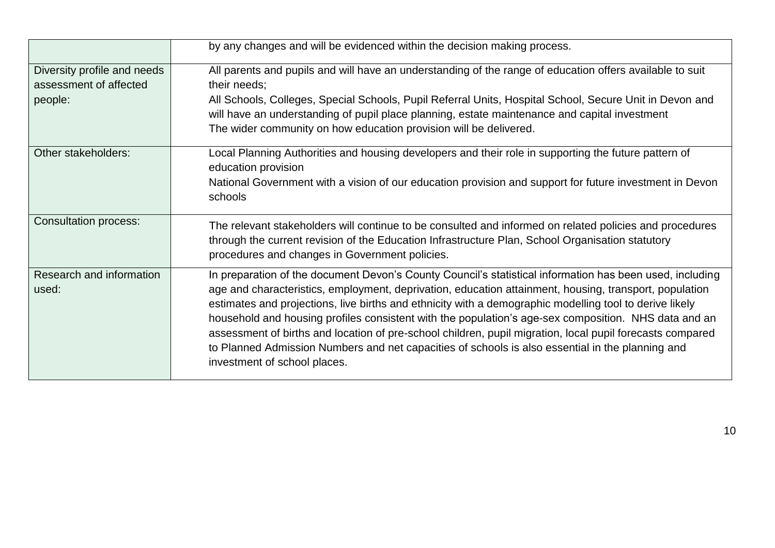|                                                                  | by any changes and will be evidenced within the decision making process.                                                                                                                                                                                                                                                                                                                                                                                                                                                                                                                                                                                                               |
|------------------------------------------------------------------|----------------------------------------------------------------------------------------------------------------------------------------------------------------------------------------------------------------------------------------------------------------------------------------------------------------------------------------------------------------------------------------------------------------------------------------------------------------------------------------------------------------------------------------------------------------------------------------------------------------------------------------------------------------------------------------|
| Diversity profile and needs<br>assessment of affected<br>people: | All parents and pupils and will have an understanding of the range of education offers available to suit<br>their needs;<br>All Schools, Colleges, Special Schools, Pupil Referral Units, Hospital School, Secure Unit in Devon and<br>will have an understanding of pupil place planning, estate maintenance and capital investment<br>The wider community on how education provision will be delivered.                                                                                                                                                                                                                                                                              |
| Other stakeholders:                                              | Local Planning Authorities and housing developers and their role in supporting the future pattern of<br>education provision<br>National Government with a vision of our education provision and support for future investment in Devon<br>schools                                                                                                                                                                                                                                                                                                                                                                                                                                      |
| <b>Consultation process:</b>                                     | The relevant stakeholders will continue to be consulted and informed on related policies and procedures<br>through the current revision of the Education Infrastructure Plan, School Organisation statutory<br>procedures and changes in Government policies.                                                                                                                                                                                                                                                                                                                                                                                                                          |
| Research and information<br>used:                                | In preparation of the document Devon's County Council's statistical information has been used, including<br>age and characteristics, employment, deprivation, education attainment, housing, transport, population<br>estimates and projections, live births and ethnicity with a demographic modelling tool to derive likely<br>household and housing profiles consistent with the population's age-sex composition. NHS data and an<br>assessment of births and location of pre-school children, pupil migration, local pupil forecasts compared<br>to Planned Admission Numbers and net capacities of schools is also essential in the planning and<br>investment of school places. |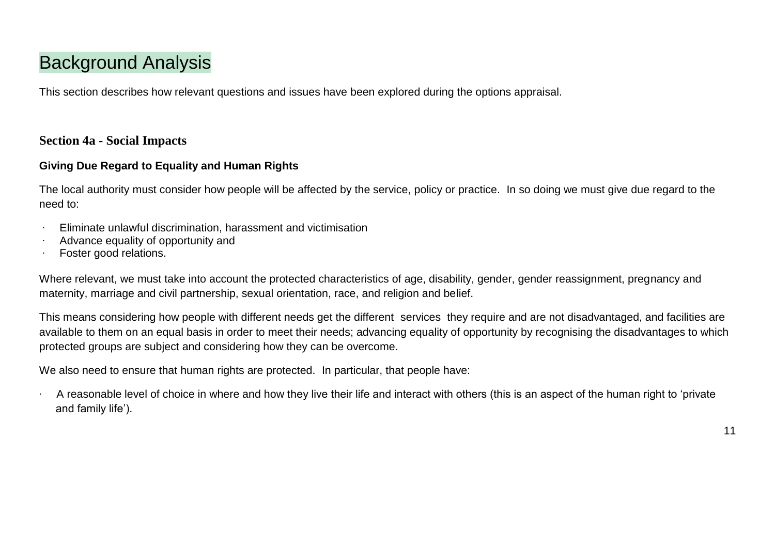## Background Analysis

This section describes how relevant questions and issues have been explored during the options appraisal.

#### **Section 4a - Social Impacts**

#### **Giving Due Regard to Equality and Human Rights**

The local authority must consider how people will be affected by the service, policy or practice. In so doing we must give due regard to the need to:

- ∙ Eliminate unlawful discrimination, harassment and victimisation
- ∙ Advance equality of opportunity and
- ∙ Foster good relations.

Where relevant, we must take into account the protected characteristics of age, disability, gender, gender reassignment, pregnancy and maternity, marriage and civil partnership, sexual orientation, race, and religion and belief.

This means considering how people with different needs get the different services they require and are not disadvantaged, and facilities are available to them on an equal basis in order to meet their needs; advancing equality of opportunity by recognising the disadvantages to which protected groups are subject and considering how they can be overcome.

We also need to ensure that human rights are protected. In particular, that people have:

∙ A reasonable level of choice in where and how they live their life and interact with others (this is an aspect of the human right to 'private and family life').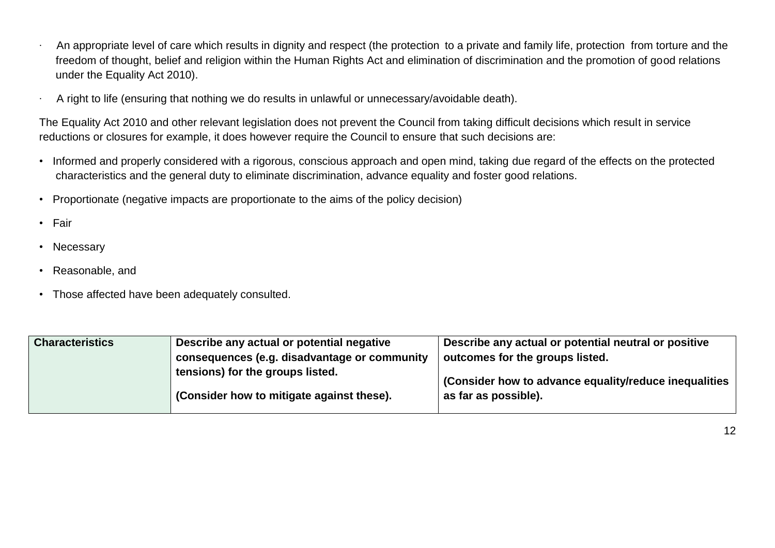- ∙ An appropriate level of care which results in dignity and respect (the protection to a private and family life, protection from torture and the freedom of thought, belief and religion within the Human Rights Act and elimination of discrimination and the promotion of good relations under the Equality Act 2010).
- ∙ A right to life (ensuring that nothing we do results in unlawful or unnecessary/avoidable death).

The Equality Act 2010 and other relevant legislation does not prevent the Council from taking difficult decisions which result in service reductions or closures for example, it does however require the Council to ensure that such decisions are:

- Informed and properly considered with a rigorous, conscious approach and open mind, taking due regard of the effects on the protected characteristics and the general duty to eliminate discrimination, advance equality and foster good relations.
- Proportionate (negative impacts are proportionate to the aims of the policy decision)
- Fair
- Necessary
- Reasonable, and
- Those affected have been adequately consulted.

| <b>Characteristics</b> | Describe any actual or potential negative                                     | Describe any actual or potential neutral or positive                          |
|------------------------|-------------------------------------------------------------------------------|-------------------------------------------------------------------------------|
|                        | consequences (e.g. disadvantage or community                                  | outcomes for the groups listed.                                               |
|                        | tensions) for the groups listed.<br>(Consider how to mitigate against these). | (Consider how to advance equality/reduce inequalities<br>as far as possible). |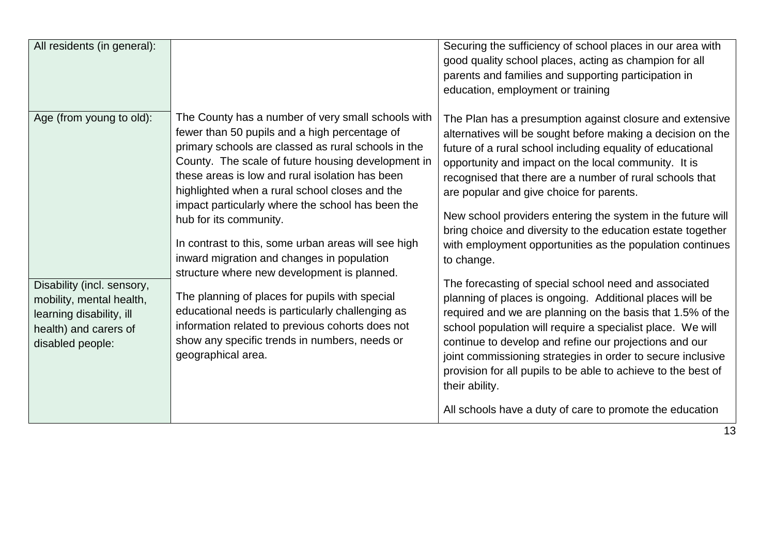| All residents (in general):                                                                                                                                 |                                                                                                                                                                                                                                                                                                                                                                                                                                                                                                                                                                                                                                                                                                                                                                                           | Securing the sufficiency of school places in our area with<br>good quality school places, acting as champion for all<br>parents and families and supporting participation in<br>education, employment or training                                                                                                                                                                                                                                                                                                                                                                                                                                                                                                                                                                                                                                                                                                                                                                                                                                                                       |
|-------------------------------------------------------------------------------------------------------------------------------------------------------------|-------------------------------------------------------------------------------------------------------------------------------------------------------------------------------------------------------------------------------------------------------------------------------------------------------------------------------------------------------------------------------------------------------------------------------------------------------------------------------------------------------------------------------------------------------------------------------------------------------------------------------------------------------------------------------------------------------------------------------------------------------------------------------------------|-----------------------------------------------------------------------------------------------------------------------------------------------------------------------------------------------------------------------------------------------------------------------------------------------------------------------------------------------------------------------------------------------------------------------------------------------------------------------------------------------------------------------------------------------------------------------------------------------------------------------------------------------------------------------------------------------------------------------------------------------------------------------------------------------------------------------------------------------------------------------------------------------------------------------------------------------------------------------------------------------------------------------------------------------------------------------------------------|
| Age (from young to old):<br>Disability (incl. sensory,<br>mobility, mental health,<br>learning disability, ill<br>health) and carers of<br>disabled people: | The County has a number of very small schools with<br>fewer than 50 pupils and a high percentage of<br>primary schools are classed as rural schools in the<br>County. The scale of future housing development in<br>these areas is low and rural isolation has been<br>highlighted when a rural school closes and the<br>impact particularly where the school has been the<br>hub for its community.<br>In contrast to this, some urban areas will see high<br>inward migration and changes in population<br>structure where new development is planned.<br>The planning of places for pupils with special<br>educational needs is particularly challenging as<br>information related to previous cohorts does not<br>show any specific trends in numbers, needs or<br>geographical area. | The Plan has a presumption against closure and extensive<br>alternatives will be sought before making a decision on the<br>future of a rural school including equality of educational<br>opportunity and impact on the local community. It is<br>recognised that there are a number of rural schools that<br>are popular and give choice for parents.<br>New school providers entering the system in the future will<br>bring choice and diversity to the education estate together<br>with employment opportunities as the population continues<br>to change.<br>The forecasting of special school need and associated<br>planning of places is ongoing. Additional places will be<br>required and we are planning on the basis that 1.5% of the<br>school population will require a specialist place. We will<br>continue to develop and refine our projections and our<br>joint commissioning strategies in order to secure inclusive<br>provision for all pupils to be able to achieve to the best of<br>their ability.<br>All schools have a duty of care to promote the education |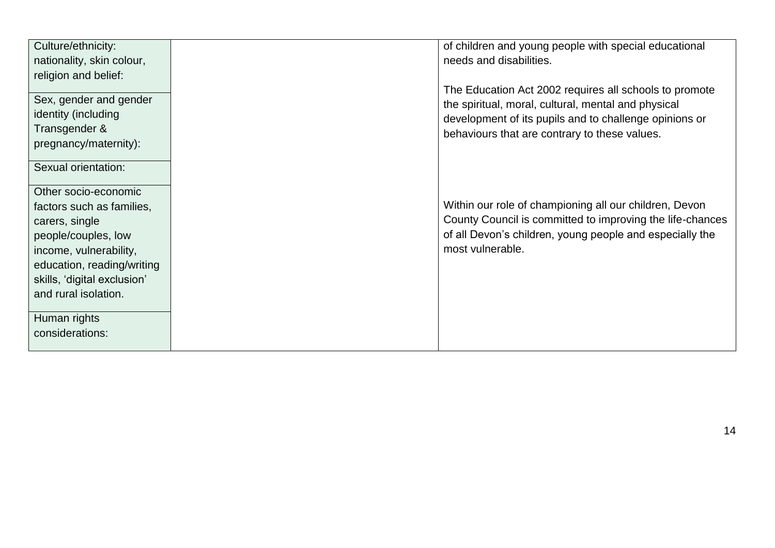| Culture/ethnicity:          | of children and young people with special educational     |
|-----------------------------|-----------------------------------------------------------|
| nationality, skin colour,   | needs and disabilities.                                   |
| religion and belief:        |                                                           |
|                             | The Education Act 2002 requires all schools to promote    |
| Sex, gender and gender      | the spiritual, moral, cultural, mental and physical       |
| identity (including         |                                                           |
| Transgender &               | development of its pupils and to challenge opinions or    |
|                             | behaviours that are contrary to these values.             |
| pregnancy/maternity):       |                                                           |
|                             |                                                           |
| Sexual orientation:         |                                                           |
| Other socio-economic        |                                                           |
|                             |                                                           |
| factors such as families,   | Within our role of championing all our children, Devon    |
| carers, single              | County Council is committed to improving the life-chances |
| people/couples, low         | of all Devon's children, young people and especially the  |
| income, vulnerability,      | most vulnerable.                                          |
| education, reading/writing  |                                                           |
| skills, 'digital exclusion' |                                                           |
|                             |                                                           |
| and rural isolation.        |                                                           |
|                             |                                                           |
| Human rights                |                                                           |
| considerations:             |                                                           |
|                             |                                                           |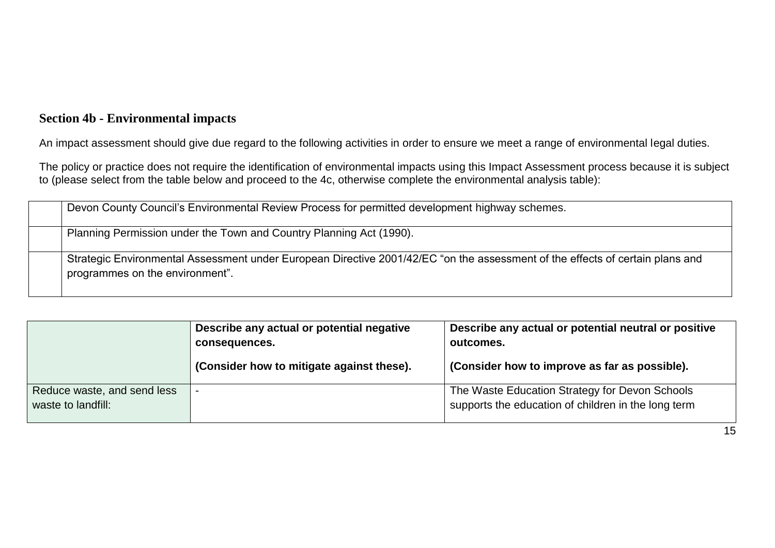#### **Section 4b - Environmental impacts**

An impact assessment should give due regard to the following activities in order to ensure we meet a range of environmental legal duties.

The policy or practice does not require the identification of environmental impacts using this Impact Assessment process because it is subject to (please select from the table below and proceed to the 4c, otherwise complete the environmental analysis table):

| Devon County Council's Environmental Review Process for permitted development highway schemes.                                                                   |
|------------------------------------------------------------------------------------------------------------------------------------------------------------------|
| Planning Permission under the Town and Country Planning Act (1990).                                                                                              |
| Strategic Environmental Assessment under European Directive 2001/42/EC "on the assessment of the effects of certain plans and<br>programmes on the environment". |

|                                                   | Describe any actual or potential negative<br>consequences.<br>(Consider how to mitigate against these). | Describe any actual or potential neutral or positive<br>outcomes.<br>(Consider how to improve as far as possible). |
|---------------------------------------------------|---------------------------------------------------------------------------------------------------------|--------------------------------------------------------------------------------------------------------------------|
| Reduce waste, and send less<br>waste to landfill: |                                                                                                         | The Waste Education Strategy for Devon Schools<br>supports the education of children in the long term              |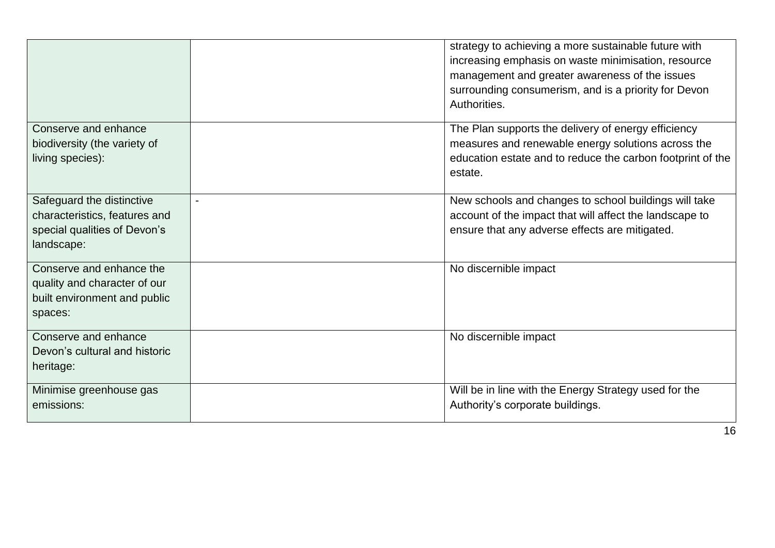|                                                               | strategy to achieving a more sustainable future with<br>increasing emphasis on waste minimisation, resource<br>management and greater awareness of the issues<br>surrounding consumerism, and is a priority for Devon<br>Authorities. |
|---------------------------------------------------------------|---------------------------------------------------------------------------------------------------------------------------------------------------------------------------------------------------------------------------------------|
| Conserve and enhance<br>biodiversity (the variety of          | The Plan supports the delivery of energy efficiency<br>measures and renewable energy solutions across the                                                                                                                             |
| living species):                                              | education estate and to reduce the carbon footprint of the<br>estate.                                                                                                                                                                 |
| Safeguard the distinctive                                     | New schools and changes to school buildings will take                                                                                                                                                                                 |
| characteristics, features and<br>special qualities of Devon's | account of the impact that will affect the landscape to<br>ensure that any adverse effects are mitigated.                                                                                                                             |
| landscape:                                                    |                                                                                                                                                                                                                                       |
| Conserve and enhance the                                      | No discernible impact                                                                                                                                                                                                                 |
| quality and character of our<br>built environment and public  |                                                                                                                                                                                                                                       |
| spaces:                                                       |                                                                                                                                                                                                                                       |
| Conserve and enhance                                          | No discernible impact                                                                                                                                                                                                                 |
| Devon's cultural and historic                                 |                                                                                                                                                                                                                                       |
| heritage:                                                     |                                                                                                                                                                                                                                       |
| Minimise greenhouse gas                                       | Will be in line with the Energy Strategy used for the                                                                                                                                                                                 |
| emissions:                                                    | Authority's corporate buildings.                                                                                                                                                                                                      |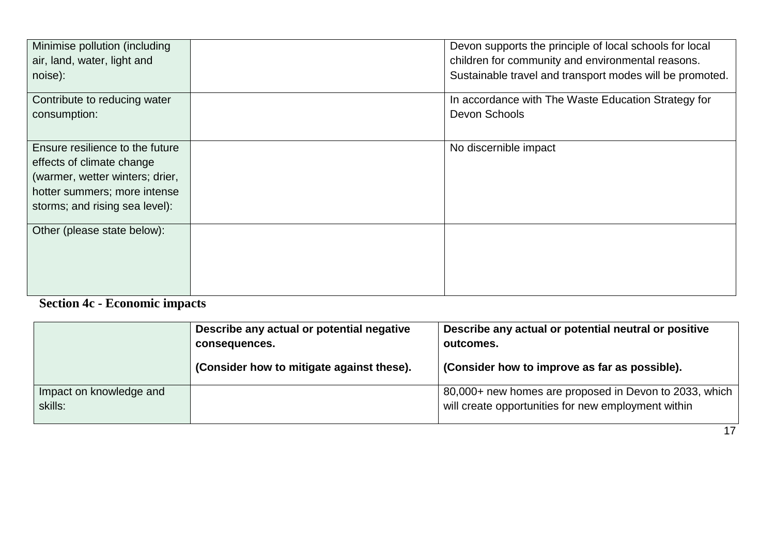| Minimise pollution (including<br>air, land, water, light and<br>noise):                                                                                           | Devon supports the principle of local schools for local<br>children for community and environmental reasons.<br>Sustainable travel and transport modes will be promoted. |
|-------------------------------------------------------------------------------------------------------------------------------------------------------------------|--------------------------------------------------------------------------------------------------------------------------------------------------------------------------|
| Contribute to reducing water<br>consumption:                                                                                                                      | In accordance with The Waste Education Strategy for<br>Devon Schools                                                                                                     |
| Ensure resilience to the future<br>effects of climate change<br>(warmer, wetter winters; drier,<br>hotter summers; more intense<br>storms; and rising sea level): | No discernible impact                                                                                                                                                    |
| Other (please state below):                                                                                                                                       |                                                                                                                                                                          |

### **Section 4c - Economic impacts**

|                                    | Describe any actual or potential negative<br>consequences. | Describe any actual or potential neutral or positive<br>outcomes.                                             |
|------------------------------------|------------------------------------------------------------|---------------------------------------------------------------------------------------------------------------|
|                                    | (Consider how to mitigate against these).                  | (Consider how to improve as far as possible).                                                                 |
| Impact on knowledge and<br>skills: |                                                            | 80,000+ new homes are proposed in Devon to 2033, which<br>will create opportunities for new employment within |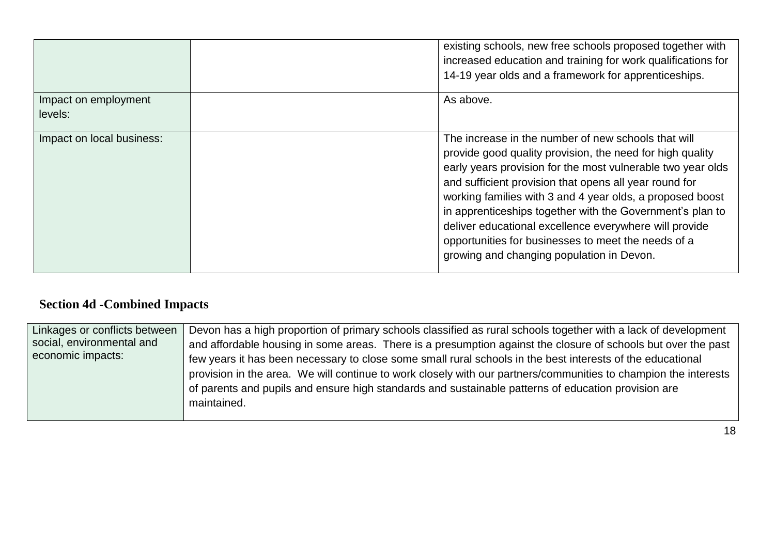|                                 | existing schools, new free schools proposed together with<br>increased education and training for work qualifications for<br>14-19 year olds and a framework for apprenticeships.                                                                                                                                                                                                                                                                                                                                                 |
|---------------------------------|-----------------------------------------------------------------------------------------------------------------------------------------------------------------------------------------------------------------------------------------------------------------------------------------------------------------------------------------------------------------------------------------------------------------------------------------------------------------------------------------------------------------------------------|
| Impact on employment<br>levels: | As above.                                                                                                                                                                                                                                                                                                                                                                                                                                                                                                                         |
| Impact on local business:       | The increase in the number of new schools that will<br>provide good quality provision, the need for high quality<br>early years provision for the most vulnerable two year olds<br>and sufficient provision that opens all year round for<br>working families with 3 and 4 year olds, a proposed boost<br>in apprenticeships together with the Government's plan to<br>deliver educational excellence everywhere will provide<br>opportunities for businesses to meet the needs of a<br>growing and changing population in Devon. |

### **Section 4d -Combined Impacts**

| Linkages or conflicts between | Devon has a high proportion of primary schools classified as rural schools together with a lack of development  |
|-------------------------------|-----------------------------------------------------------------------------------------------------------------|
| social, environmental and     | and affordable housing in some areas. There is a presumption against the closure of schools but over the past   |
| economic impacts:             | few years it has been necessary to close some small rural schools in the best interests of the educational      |
|                               | provision in the area. We will continue to work closely with our partners/communities to champion the interests |
|                               | of parents and pupils and ensure high standards and sustainable patterns of education provision are             |
|                               | maintained.                                                                                                     |
|                               |                                                                                                                 |